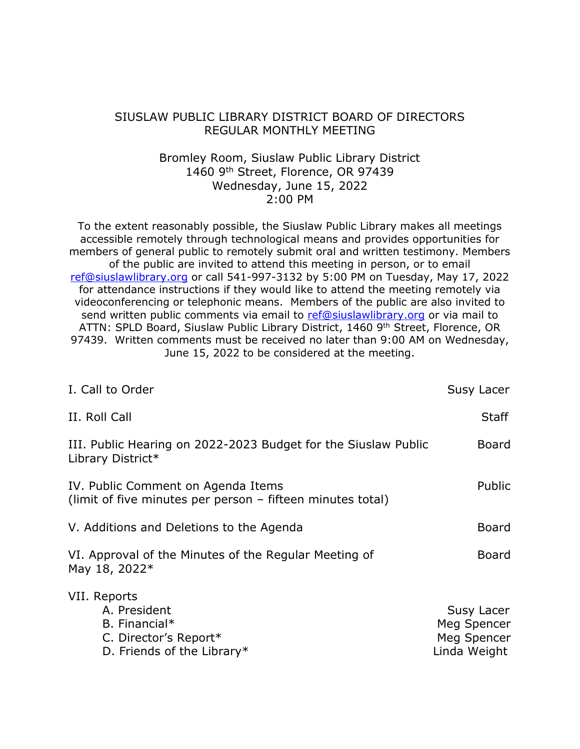## SIUSLAW PUBLIC LIBRARY DISTRICT BOARD OF DIRECTORS REGULAR MONTHLY MEETING

## Bromley Room, Siuslaw Public Library District 1460 9th Street, Florence, OR 97439 Wednesday, June 15, 2022 2:00 PM

To the extent reasonably possible, the Siuslaw Public Library makes all meetings accessible remotely through technological means and provides opportunities for members of general public to remotely submit oral and written testimony. Members of the public are invited to attend this meeting in person, or to email [ref@siuslawlibrary.org](mailto:ref@siuslawlibrary.org) or call 541-997-3132 by 5:00 PM on Tuesday, May 17, 2022 for attendance instructions if they would like to attend the meeting remotely via videoconferencing or telephonic means. Members of the public are also invited to send written public comments via email to [ref@siuslawlibrary.org](mailto:ref@siuslawlibrary.org) or via mail to ATTN: SPLD Board, Siuslaw Public Library District, 1460 9th Street, Florence, OR 97439. Written comments must be received no later than 9:00 AM on Wednesday, June 15, 2022 to be considered at the meeting.

| I. Call to Order                                                                                     | Susy Lacer                                               |
|------------------------------------------------------------------------------------------------------|----------------------------------------------------------|
| II. Roll Call                                                                                        | <b>Staff</b>                                             |
| III. Public Hearing on 2022-2023 Budget for the Siuslaw Public<br>Library District*                  | <b>Board</b>                                             |
| IV. Public Comment on Agenda Items<br>(limit of five minutes per person - fifteen minutes total)     | Public                                                   |
| V. Additions and Deletions to the Agenda                                                             | <b>Board</b>                                             |
| VI. Approval of the Minutes of the Regular Meeting of<br>May 18, 2022*                               | <b>Board</b>                                             |
| VII. Reports<br>A. President<br>B. Financial*<br>C. Director's Report*<br>D. Friends of the Library* | Susy Lacer<br>Meg Spencer<br>Meg Spencer<br>Linda Weight |